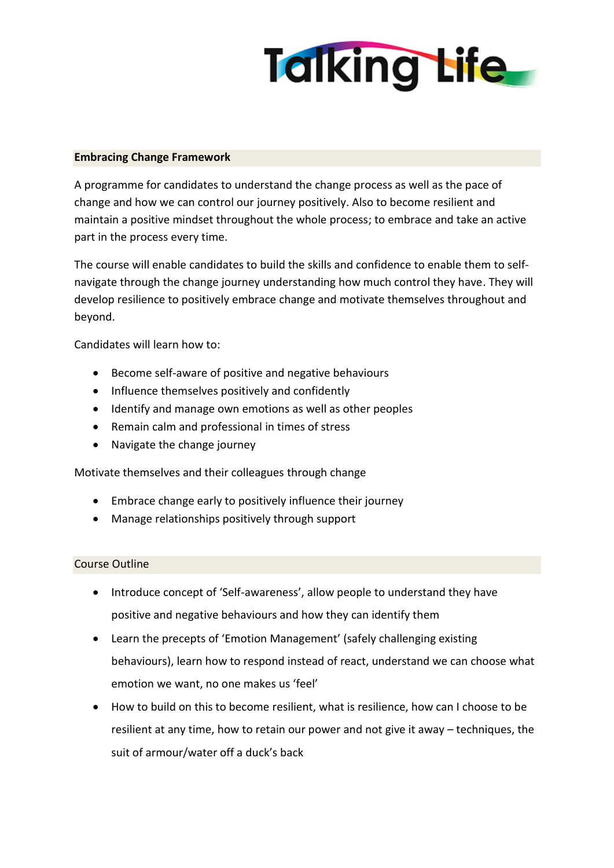

## **Embracing Change Framework**

A programme for candidates to understand the change process as well as the pace of change and how we can control our journey positively. Also to become resilient and maintain a positive mindset throughout the whole process; to embrace and take an active part in the process every time.

The course will enable candidates to build the skills and confidence to enable them to selfnavigate through the change journey understanding how much control they have. They will develop resilience to positively embrace change and motivate themselves throughout and beyond.

Candidates will learn how to:

- Become self-aware of positive and negative behaviours
- Influence themselves positively and confidently
- Identify and manage own emotions as well as other peoples
- Remain calm and professional in times of stress
- Navigate the change journey

Motivate themselves and their colleagues through change

- Embrace change early to positively influence their journey
- Manage relationships positively through support

## Course Outline

- Introduce concept of 'Self-awareness', allow people to understand they have positive and negative behaviours and how they can identify them
- Learn the precepts of 'Emotion Management' (safely challenging existing behaviours), learn how to respond instead of react, understand we can choose what emotion we want, no one makes us 'feel'
- How to build on this to become resilient, what is resilience, how can I choose to be resilient at any time, how to retain our power and not give it away – techniques, the suit of armour/water off a duck's back